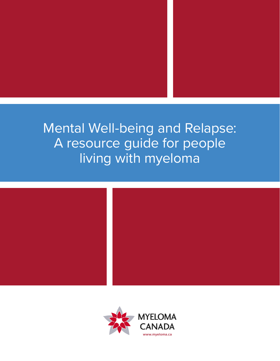# Mental Well-being and Relapse: A resource guide for people living with myeloma



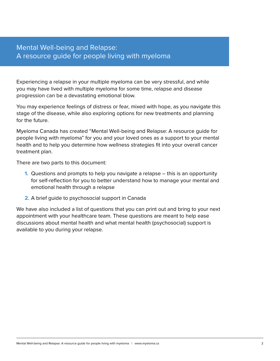# Mental Well-being and Relapse: A resource guide for people living with myeloma

Experiencing a relapse in your multiple myeloma can be very stressful, and while you may have lived with multiple myeloma for some time, relapse and disease progression can be a devastating emotional blow.

You may experience feelings of distress or fear, mixed with hope, as you navigate this stage of the disease, while also exploring options for new treatments and planning for the future.

Myeloma Canada has created "Mental Well-being and Relapse: A resource guide for people living with myeloma" for you and your loved ones as a support to your mental health and to help you determine how wellness strategies fit into your overall cancer treatment plan.

There are two parts to this document:

- **1.** Questions and prompts to help you navigate a relapse this is an opportunity for self-reflection for you to better understand how to manage your mental and emotional health through a relapse
- **2.** A brief guide to psychosocial support in Canada

We have also included a list of questions that you can print out and bring to your next appointment with your healthcare team. These questions are meant to help ease discussions about mental health and what mental health (psychosocial) support is available to you during your relapse.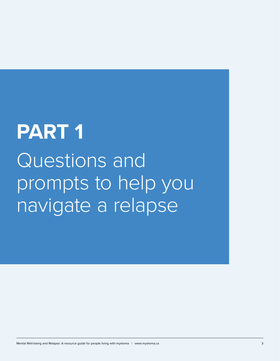# **PART 1** Questions and prompts to help you navigate a relapse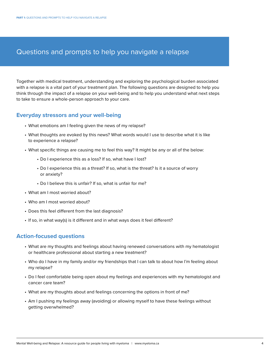# Questions and prompts to help you navigate a relapse

Together with medical treatment, understanding and exploring the psychological burden associated with a relapse is a vital part of your treatment plan. The following questions are designed to help you think through the impact of a relapse on your well-being and to help you understand what next steps to take to ensure a whole-person approach to your care.

# **Everyday stressors and your well-being**

- What emotions am I feeling given the news of my relapse?
- What thoughts are evoked by this news? What words would I use to describe what it is like to experience a relapse?
- What specific things are causing me to feel this way? It might be any or all of the below:
	- Do I experience this as a loss? If so, what have I lost?
	- Do I experience this as a threat? If so, what is the threat? Is it a source of worry or anxiety?
	- Do I believe this is unfair? If so, what is unfair for me?
- What am I most worried about?
- Who am I most worried about?
- Does this feel different from the last diagnosis?
- If so, in what way(s) is it different and in what ways does it feel different?

# **Action-focused questions**

- What are my thoughts and feelings about having renewed conversations with my hematologist or healthcare professional about starting a new treatment?
- Who do I have in my family and/or my friendships that I can talk to about how I'm feeling about my relapse?
- Do I feel comfortable being open about my feelings and experiences with my hematologist and cancer care team?
- What are my thoughts about and feelings concerning the options in front of me?
- Am I pushing my feelings away (avoiding) or allowing myself to have these feelings without getting overwhelmed?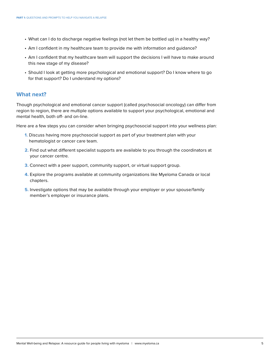- What can I do to discharge negative feelings (not let them be bottled up) in a healthy way?
- Am I confident in my healthcare team to provide me with information and guidance?
- Am I confident that my healthcare team will support the decisions I will have to make around this new stage of my disease?
- Should I look at getting more psychological and emotional support? Do I know where to go for that support? Do I understand my options?

### **What next?**

Though psychological and emotional cancer support (called psychosocial oncology) can differ from region to region, there are multiple options available to support your psychological, emotional and mental health, both off- and on-line.

Here are a few steps you can consider when bringing psychosocial support into your wellness plan:

- **1.** Discuss having more psychosocial support as part of your treatment plan with your hematologist or cancer care team.
- **2.** Find out what different specialist supports are available to you through the coordinators at your cancer centre.
- **3.** Connect with a peer support, community support, or virtual support group.
- **4.** Explore the programs available at community organizations like Myeloma Canada or local chapters.
- **5.** Investigate options that may be available through your employer or your spouse/family member's employer or insurance plans.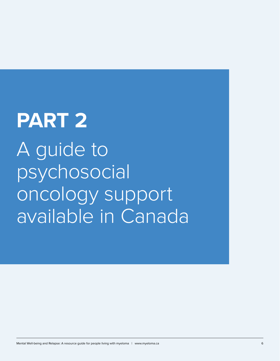# **PART 2** A guide to psychosocial oncology support available in Canada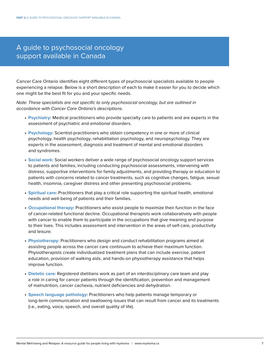# A guide to psychosocial oncology support available in Canada

Cancer Care Ontario identifies eight different types of psychosocial specialists available to people experiencing a relapse. Below is a short description of each to make it easier for you to decide which one might be the best fit for you and your specific needs.

Note: These specialists are not specific to only psychosocial oncology, but are outlined in accordance with Cancer Care Ontario's descriptions.

- **• Psychiatry:** Medical practitioners who provide specialty care to patients and are experts in the assessment of psychiatric and emotional disorders.
- **• Psychology:** Scientist-practitioners who obtain competency in one or more of clinical psychology, health psychology, rehabilitation psychology, and neuropsychology. They are experts in the assessment, diagnosis and treatment of mental and emotional disorders and syndromes.
- **• Social work:** Social workers deliver a wide range of psychosocial oncology support services to patients and families, including conducting psychosocial assessments, intervening with distress, supportive interventions for family adjustments, and providing therapy or education to patients with concerns related to cancer treatments, such as cognitive changes, fatigue, sexual health, insomnia, caregiver distress and other presenting psychosocial problems.
- **• Spiritual care:** Practitioners that play a critical role supporting the spiritual health, emotional needs and well-being of patients and their families.
- **• Occupational therapy:** Practitioners who assist people to maximize their function in the face of cancer-related functional decline. Occupational therapists work collaboratively with people with cancer to enable them to participate in the occupations that give meaning and purpose to their lives. This includes assessment and intervention in the areas of self-care, productivity and leisure.
- **• Physiotherapy:** Practitioners who design and conduct rehabilitation programs aimed at assisting people across the cancer care continuum to achieve their maximum function. Physiotherapists create individualized treatment plans that can include exercise, patient education, provision of walking aids, and hands-on physiotherapy assistance that helps improve function.
- **• Dietetic care:** Registered dietitians work as part of an interdisciplinary care team and play a role in caring for cancer patients through the identification, prevention and management of malnutrition, cancer cachexia, nutrient deficiencies and dehydration.
- **• Speech language pathology:** Practitioners who help patients manage temporary or long-term communication and swallowing issues that can result from cancer and its treatments (i.e., eating, voice, speech, and overall quality of life).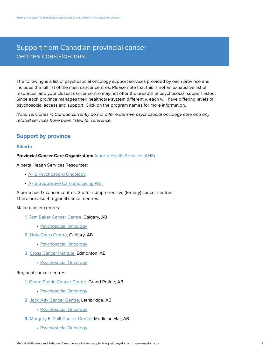# Support from Canadian provincial cancer centres coast-to-coast

The following is a list of psychosocial oncology support services provided by each province and includes the full list of the main cancer centres. Please note that this is not an exhaustive list of resources, and your closest cancer centre may not offer the breadth of psychosocial support listed. Since each province manages their healthcare system differently, each will have differing levels of psychosocial access and support. Click on the program names for more information.

Note: Territories in Canada currently do not offer extensive psychosocial oncology care and any related services have been listed for reference.

# **Support by province**

#### **Alberta**

**Provincial Cancer Care Organization:** [Alberta Health Services \(AHS\)](https://www.albertahealthservices.ca/cancer/Page16313.aspx)

Alberta Health Services Resources:

- [AHS Psychosocial Oncology](https://www.albertahealthservices.ca/cancer/Page17172.aspx)
- [AHS Supportive Care and Living Well](https://www.albertahealthservices.ca/cancer/Page16325.aspx)

Alberta has 17 cancer centres. 3 offer comprehensive (tertiary) cancer centres. There are also 4 regional cancer centres.

Major cancer centres:

- **1.** [Tom Baker Cancer Centre,](https://www.albertahealthservices.ca/findhealth/facility.aspx?id=1007362) Calgary, AB
	- [Psychosocial Oncology](https://www.albertahealthservices.ca/findhealth/Service.aspx?id=1047804&serviceAtFacilityID=1074213#contentStart)
- **2.** [Holy Cross Centre,](https://www.albertahealthservices.ca/findhealth/Service.aspx?id=1047804&serviceAtFacilityID=1072851#contentStart) Calgary, AB
	- [Psychosocial Oncology](https://www.albertahealthservices.ca/findhealth/Service.aspx?id=1047804&serviceAtFacilityID=1129390)
- **3.** [Cross Cancer Institute,](https://www.albertahealthservices.ca/findhealth/facility.aspx?id=6122#contentStart) Edmonton, AB
	- [Psychosocial Oncology](https://www.albertahealthservices.ca/findhealth/Service.aspx?id=1047804&serviceAtFacilityID=1127660#contentStart)

#### Regional cancer centres:

- **1.** [Grand Prairie Cancer Centre,](https://www.albertahealthservices.ca/findhealth/facility.aspx?id=1052510) Grand Prairie, AB
	- [Psychosocial Oncology](https://www.albertahealthservices.ca/findhealth/Service.aspx?id=1047804&serviceAtFacilityID=1127661#contentStart)
- **2.** [Jack Ady Cancer Centre,](https://www.albertahealthservices.ca/findhealth/facility.aspx?id=1043604) Lethbridge, AB
	- [Psychosocial Oncology](https://www.albertahealthservices.ca/findhealth/Service.aspx?id=1047804&serviceAtFacilityID=1127662#contentStart)
- **3.** [Margery E. Yuill Cancer Centre,](https://www.albertahealthservices.ca/findhealth/Service.aspx?id=1047804&serviceAtFacilityID=1127663#contentStart) Medicine Hat, AB
	- [Psychosocial Oncology](https://www.albertahealthservices.ca/findhealth/Service.aspx?id=1047804&serviceAtFacilityID=1127659#contentStart)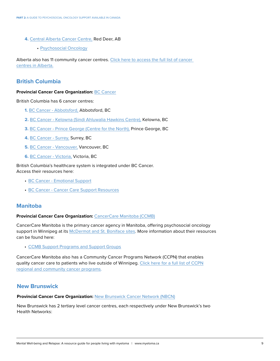- **4.** [Central Alberta Cancer Centre,](https://www.albertahealthservices.ca/findhealth/facility.aspx?id=1048870#contentStart) Red Deer, AB
	- [Psychosocial Oncology](https://www.albertahealthservices.ca/findhealth/Service.aspx?id=1047804&serviceAtFacilityID=1127659#contentStart)

Alberta also has 11 community cancer centres. [Click here to access the full list of cancer](https://www.albertacancer.ca/cancer-centres/)  [centres in Alberta.](https://www.albertacancer.ca/cancer-centres/)

# **British Columbia**

#### **Provincial Cancer Care Organization:** [BC Cancer](http://www.bccancer.bc.ca/)

British Columbia has 6 cancer centres:

- **1.** [BC Cancer Abbotsford,](http://www.bccancer.bc.ca/our-services/centres-clinics/bc-cancer%E2%80%93abbotsford) Abbotsford, BC
- **2.** [BC Cancer Kelowna \(Sindi Ahluwalia Hawkins Centre\),](http://www.bccancer.bc.ca/our-services/centres-clinics/bc-cancer%E2%80%93kelowna) Kelowna, BC
- **3.** [BC Cancer](http://www.bccancer.bc.ca/our-services/centres-clinics/bc-cancer%E2%80%93prince-george)  Prince George [\(Centre for the North\),](http://www.bccancer.bc.ca/our-services/centres-clinics/bc-cancer%E2%80%93prince-george) Prince George, BC
- **4.** [BC Cancer Surrey,](http://www.bccancer.bc.ca/our-services/centres-clinics/bc-cancer%E2%80%93surrey) Surrey, BC
- **5.** [BC Cancer Vancouver,](http://www.bccancer.bc.ca/our-services/centres-clinics/bc-cancer%E2%80%93vancouver) Vancouver, BC
- **6.** [BC Cancer Victoria,](http://www.bccancer.bc.ca/our-services/centres-clinics/bc-cancer%E2%80%93victoria) Victoria, BC

British Columbia's healthcare system is integrated under BC Cancer. Access their resources here:

- [BC Cancer Emotional Support](http://www.bccancer.bc.ca/health-info/coping-with-cancer/emotional-support)
- [BC Cancer Cancer Care Support Resources](http://www.bccancer.bc.ca/psychosocial-oncology-site/Documents/Cancer%20care%20support%20resources%20for%20HCP.pdf)

# **Manitoba**

#### **Provincial Cancer Care Organization:** [CancerCare Manitoba \(CCMB\)](https://www.cancercare.mb.ca/home/)

CancerCare Manitoba is the primary cancer agency in Manitoba, offering psychosocial oncology support in Winnipeg at its [McDermot and St. Boniface sites.](https://www.cancercare.mb.ca/About-Us/Locations/winnipeg-locations) More information about their resources can be found here:

• CCMB Support [Programs](https://www.cancercare.mb.ca/Patient-Family/support-services/programs-and-support-groups) and Support Groups

CancerCare Manitoba also has a Community Cancer Programs Network (CCPN) that enables quality cancer care to patients who live outside of Winnipeg. Click here for a full list of CCPN [regional and community cancer programs.](https://www.cancercare.mb.ca/Patient-Family/information-for-rural-patients)

# **New Brunswick**

#### **Provincial Cancer Care Organization:** [New Brunswick Cancer Network \(NBCN\)](https://www2.gnb.ca/content/gnb/en/departments/health/NewBrunswickCancerNetwork.html)

New Brunswick has 2 tertiary level cancer centres, each respectively under New Brunswick's two Health Networks: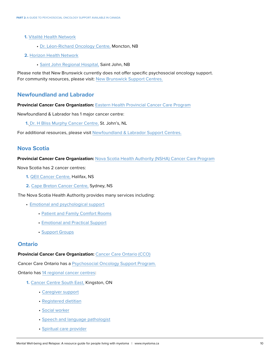- **1.** [Vitalité Health Network](https://www.vitalitenb.ca/en)
	- [Dr. Léon-Richard Oncology Centre,](https://www.vitalitenb.ca/en/points-service/dr-leon-richard-oncology-centre) Moncton, NB
- **2.** [Horizon Health Network](https://en.horizonnb.ca/home/facilities-and-services/services/clinical-services/cancer-care-(oncology).aspx)
	- [Saint John Regional Hospital,](https://en.horizonnb.ca/home/facilities-and-services/facilities/saint-john-regional-hospital/oncology-services-at-the-saint-john-regional-hospital/saint-john-regional-hospital-(sjrh)-site.aspx) Saint John, NB

Please note that New Brunswick currently does not offer specific psychosocial oncology support. For community resources, please visit: [New Brunswick Support Centres.](https://gbcancersupportcentre.ca/home/find-support/new-brunswick)

# **Newfoundland and Labrador**

**Provincial Cancer Care Organization:** [Eastern Health Provincial Cancer Care Program](https://cancercare.easternhealth.ca/about-us/regional-cancer-centres/)

Newfoundland & Labrador has 1 major cancer centre:

**1.** [Dr. H Bliss Murphy Cancer Centre,](https://www.easternhealth.ca/facilities/dr-h-bliss-murphy-cancer-centre/) St. John's, NL

For additional resources, please visit [Newfoundland & Labrador Support Centres.](https://gbcancersupportcentre.ca/home/find-support/newfoundland-labrador)

# **Nova Scotia**

**Provincial Cancer Care Organization:** [Nova Scotia Health Authority \(NSHA\) Cancer Care Program](http://www.nshealth.ca/cancer-care)

Nova Scotia has 2 cancer centres:

- **1.** [QEII Cancer Centre,](http://www.nshealth.ca/nova-scotia-cancer-program-care/nova-scotia-cancer-care-centres) Halifax, NS
- **2.** [Cape Breton Cancer Centre,](http://www.nshealth.ca/nova-scotia-cancer-program-care/nova-scotia-cancer-care-centres) Sydney, NS

The Nova Scotia Health Authority provides many services including:

- [Emotional and psychological support](http://www.nshealth.ca/nova-scotia-cancer-program-care/i-have-cancer)
	- [Patient and Family Comfort Rooms](http://www.nshealth.ca/service-details/Patient%20and%20Family%20Comfort%20Rooms)
	- [Emotional and Practical Support](http://www.nshealth.ca/content/emotional-and-practical-support)
	- [Support Groups](http://www.nshealth.ca/service-details/Support%20Groups%20(Cancer))

# **Ontario**

#### **Provincial Cancer Care Organization:** [Cancer Care Ontario \(CCO\)](https://www.cancercareontario.ca/en)

Cancer Care Ontario has a [Psychosocial Oncology Support Program.](https://www.cancercareontario.ca/en/cancer-care-ontario/programs/clinical-services/psychosocial-oncology)

Ontario has [14 regional cancer centres:](https://www.cancercareontario.ca/en/find-cancer-services/regional-cancer-centres/list)

- **1.** [Cancer Centre South East,](http://cancercaresoutheast.ca/) Kingston, ON
	- [Caregiver support](http://cancercaresoutheast.ca/caregiver-support)
	- [Registered dietitian](http://cancercaresoutheast.ca/patient-and-family-support/registered-dietitian)
	- • [Social worker](http://cancercaresoutheast.ca/social-worker-0)
	- • [Speech and language pathologist](http://cancercaresoutheast.ca/speech-and-language-pathologist)
	- • [Spiritual care provider](http://cancercaresoutheast.ca/spiritual-care-provider)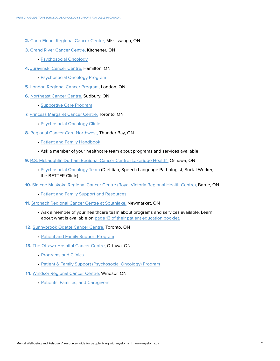- **2.** [Carlo Fidani Regional Cancer Centre,](https://www.mississaugahaltonhealthline.ca/displayservice.aspx?id=177407) Mississauga, ON
- **3.** [Grand River Cancer Centre,](https://www.grhosp.on.ca/care/services-departments/cancer/grrcc-information) Kitchener, ON
	- [Psychosocial Oncology](https://www.grhosp.on.ca/care/services-departments/cancer/how-we-can-help-you/supportive-care)
- **4.** [Juravinski Cancer Centre,](https://www.hamiltonhealthsciences.ca/about-us/our-organization/our-locations/juravinski-cancer-centre/) Hamilton, ON
	- [Psychosocial Oncology Program](https://www.hamiltonhealthsciences.ca/areas-of-care/cancer-care/cancer-services/psychosocial-oncology-program/)
- **5.** [London Regional Cancer Program,](http://www.lhsc.on.ca/About_Us/LRCP/) London, ON
- **6.** [Northeast Cancer Centre,](https://www.hsnsudbury.ca/portalen/rcp/Programs-Services/Supportive-Care-Program/Psychosocial-Services
) Sudbury, ON
	- [Supportive Care Program](https://www.hsnsudbury.ca/portalen/rcp/Programs-Services/Supportive-Care-Program)
- **7.** [Princess Margaret Cancer Centre,](http://www.uhn.ca/PrincessMargaret) Toronto, ON
	- [Psychosocial Oncology Clinic](https://www.uhn.ca/PrincessMargaret/Clinics/Psychosocial_Oncology)
- **8.** [Regional Cancer Care Northwest,](https://trilliumhealthpartners.ca/patientservices/cancerservices/Pages/default.aspx) Thunder Bay, ON
	- [Patient and Family Handbook](https://tbrhsc.net/wp-content/uploads/2021/02/Welcome-to-the-Regional-Cancer-Centre-2021.pdf)
	- Ask a member of your healthcare team about programs and services available
- **9.** [R.S. McLaughlin Durham Regional Cancer Centre \(Lakeridge Health\),](https://www.lakeridgehealth.on.ca/en/ourservices/cancercare.asp) Oshawa, ON
	- [Psychosocial Oncology Team](https://www.lakeridgehealth.on.ca/en/ourservices/psychosocial-oncology-team.asp) (Dietitian, Speech Language Pathologist, Social Worker, the BETTER Clinic)
- **10.** [Simcoe Muskoka Regional Cancer Centre \(Royal Victoria Regional Health Centre\),](https://www.rvh.on.ca/smrcp/SitePages/SMRCPHome.aspx) Barrie, ON
	- [Patient and Family Support and Resources](https://www.rvh.on.ca/areas-of-care/cancer-program/)
- **11.** [Stronach Regional Cancer Centre at Southlake,](https://southlake.ca/patient-care-program/cancer/) Newmarket, ON
	- Ask a member of your healthcare team about programs and services available. Learn about what is available on [page 13 of their patient education booklet.](https://southlake.ca/wp-content/uploads/2019/08/SL0601_15-SRCC-Patient-Education-Booklet.pdf)
- **12.** [Sunnybrook Odette Cancer Centre,](https://sunnybrook.ca/content/?page=odette-cancer-centre&rr=odettecancercentre) Toronto, ON
	- • [Patient and Family Support Program](https://sunnybrook.ca/content/?page=occ-patient-family-support)
- 13. [The Ottawa Hospital Cancer Centre,](https://www.ottawahospital.on.ca/en/clinical-services/deptpgrmcs/programs/cancer-program/) Ottawa, ON
	- • [Programs and Clinics](https://www.ottawahospital.on.ca/en/clinical-services/deptpgrmcs/programs/cancer-program/what-we-offer-our-programs-and-services/)
	- • [Patient & Family Support \(Psychosocial Oncology\) Program](https://www.ottawahospital.on.ca/en/clinical-services/deptpgrmcs/programs/cancer-program/what-we-offer-our-programs-and-services/patient-family-support-psychosocial-oncology-program/)
- **14.** [Windsor Regional Cancer Centre,](https://www.wrh.on.ca/cancerprogram) Windsor, ON
	- [Patients, Families, and Caregivers](https://www.wrh.on.ca/CancerProgramPatientsFamiliesCaregivers#RESOURCESANDINFORMATION)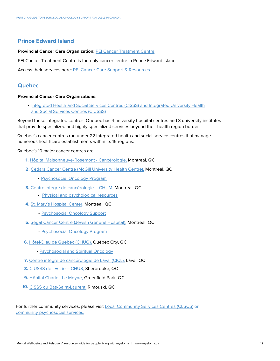# **Prince Edward Island**

#### **Provincial Cancer Care Organization:** PEI Cancer [Treatment](https://www.princeedwardisland.ca/en/information/health-pei/pei-cancer-treatment-centre) Centre

PEI Cancer Treatment Centre is the only cancer centre in Prince Edward Island.

Access their services here: PEI Cancer Care Support & [Resources](https://www.princeedwardisland.ca/en/information/health-pei/cancer-support-and-information-for-patients-and-families)

#### **Quebec**

#### **Provincial Cancer Care Organizations:**

• [Integrated Health and Social Services Centres \(CISSS\) and Integrated University Health](https://www.quebec.ca/en/health/health-system-and-services/service-organization/cisss-and-ciusss) and Social Services Centres (CIUSSS)

Beyond these integrated centres, Quebec has 4 university hospital centres and 3 university institutes that provide specialized and highly specialized services beyond their health region border.

Quebec's cancer centres run under 22 integrated health and social service centres that manage numerous healthcare establishments within its 16 regions.

Quebec's 10 major cancer centres are:

- **1.** [Hôpital Maisonneuve-Rosemont Cancérologie,](https://ciusss-estmtl.gouv.qc.ca/soins-et-services/cliniques-specialisees-par-installation/hopital-maisonneuve-rosemont/cancerologie) Montreal, QC
- **2.** [Cedars Cancer Centre \(McGill University Health Centre\),](https://muhc.ca/glen/cedars-cancer-centre) Montreal, QC
	- [Psychosocial Oncology Program](https://www.cedars.ca/en/impact/cedars-oncology-supportive-care-centre)
- **3.** Centre intégré de [cancérologie](https://www.chumontreal.qc.ca/patients/cicc) CHUM, Montreal, QC
	- Physical and [psychological](https://www.chumontreal.qc.ca/patients/cicc/informations-et-ressources) resources
- **4.** [St. Mary's Hospital Center,](https://www.smhc.qc.ca/en/) Montreal, QC
	- [Psychosocial](https://www.smhc.qc.ca/en/departments-programs/cancer-care/psychosocial-oncology-support) Oncology Support
- **5.** Segal Cancer Centre (Jewish General [Hospital\),](https://www.jgh.ca/care-services/segal-cancer-centre/) Montreal, QC
	- [Psychosocial](https://www.jgh.ca/care-services/segal-cancer-centre/oncology-interdisciplinary-teams/psychosocial-oncology-program/) Oncology Program
- **6.** [Hôtel-Dieu de Québec \(CHUQ\),](https://www.chudequebec.ca/centre-hospitaliers/l%E2%80%99hotel-dieu-de-quebec.aspx) Québec City, QC
	- [Psychosocial](https://www.chudequebec.ca/patient/maladies,-soins-et-services/specialites-et-specialistes/specialites/oncologie-psychosociale-et-spirituelle.aspx) and Spiritual Oncology
- **7.** Centre intégré de [cancérologie](https://www.lavalensante.com/soins-et-services/liste-des-soins-et-services/cancer/centre-integre-de-cancerologie-de-laval-cicl/) de Laval (CICL), Laval, QC
- **8.** [CIUSSS de l'Estrie CHUS,](https://www.santeestrie.qc.ca/accueil) Sherbrooke, QC
- **9.** Hôpital [Charles-Le](https://santemonteregie.qc.ca/en/installations/hopital-charles-le-moyne) Moyne, Greenfield Park, QC
- **10.** CISSS du [Bas-Saint-Laurent,](https://www.cisss-bsl.gouv.qc.ca/soins-services/soins-services-pour-tous/sante-mentale-dependance/sante-mentale) Rimouski, QC

For further community services, please visit [Local Community Services Centres \(CLSCS\) o](https://santemontreal.qc.ca/en/public/montreals-institutions-at-a-glance/clscs/)r community [psychosocial](https://www.quebec.ca/en/health/health-issues/cancer/help-resources-and-tools-for-people-with-cancer-and-their-loved-ones) services.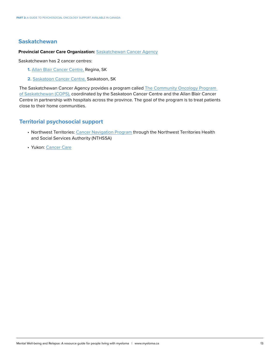# **Saskatchewan**

#### **Provincial Cancer Care Organization:** [Saskatchewan](http://www.saskcancer.ca/) Cancer Agency

Saskatchewan has 2 cancer centres:

- **1.** [Allan Blair Cancer Centre,](http://www.saskcancer.ca/patients-and-families-articles/allan-blair-cancer-centre) Regina, SK
- **2.** [Saskatoon Cancer Centre,](http://www.saskcancer.ca/patients-and-families-articles/saskatoon-cancer-centre) Saskatoon, SK

The Saskatchewan Cancer Agency provides a program called [The Community Oncology Program](https://www.saskhealthauthority.ca/our-organization)  [of Saskatchewan \(COPS\),](http://www.saskcancer.ca/patients-and-families-articles/community-oncology-program-of-saskatchewan?highlight=WyJjb3BzIl0=) coordinated by the Saskatoon Cancer Centre and the Allan Blair Cancer Centre in partnership with hospitals across the province. The goal of the program is to treat patients close to their home communities.

### **Territorial psychosocial support**

- Northwest Territories: [Cancer Navigation Program](https://www.nthssa.ca/en/services/cancer-navigation-program) through the Northwest Territories Health and Social Services Authority (NTHSSA)
- Yukon: [Cancer Care](https://yukonhospitals.ca/whitehorse-general-hospital/programs-and-services/cancer-care)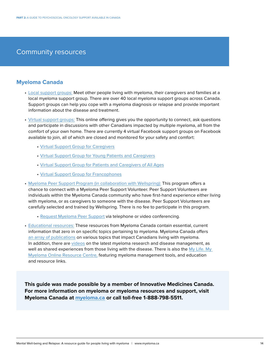# Community resources

# **Myeloma Canada**

- [Local support groups:](https://www.myelomacanada.ca/en/find-support/find-support-group) Meet other people living with myeloma, their caregivers and families at a local myeloma support group. There are over 40 local myeloma support groups across Canada. Support groups can help you cope with a myeloma diagnosis or relapse and provide important information about the disease and treatment.
- [Virtual support groups:](https://www.myeloma.ca/en/find-support/virtual-support-groups) This online offering gives you the opportunity to connect, ask questions and participate in discussions with other Canadians impacted by multiple myeloma, all from the comfort of your own home. There are currently 4 virtual Facebook support groups on Facebook available to join, all of which are closed and monitored for your safety and comfort:
	- [Virtual Support Group for Caregivers](https://www.facebook.com/groups/696641607395415/)
	- [Virtual Support Group for Young Patients and Caregivers](https://www.facebook.com/groups/176040643126888/)
	- [Virtual Support Group for Patients and Caregivers of All Ages](https://www.facebook.com/groups/myelomapatientandcaregiver/?fref=nf)
	- [Virtual Support Group for Francophones](https://www.facebook.com/groups/279695270432640)
- [Myeloma Peer Support Program \(in collaboration with Wellspring\):](https://www.myelomacanada.ca/en/find-support/myeloma-peer-support-program) This program offers a chance to connect with a Myeloma Peer Support Volunteer. Peer Support Volunteers are individuals within the Myeloma Canada community who have first-hand experience either living with myeloma, or as caregivers to someone with the disease. Peer Support Volunteers are carefully selected and trained by Wellspring. There is no fee to participate in this program.
	- [Request Myeloma Peer Support](https://wellspring.ca/online-programs/programs/all-programs/myeloma-peer-support/) via telephone or video conferencing.
- [Educational resources:](https://www.myelomacanada.ca/en/resources/myeloma-canada-patient-and-caregiver-educational-publications) These resources from Myeloma Canada contain essential, current information that zero in on specific topics pertaining to myeloma. Myeloma Canada offers [an array of publications](https://www.myelomacanada.ca/en/resources/myeloma-canada-patient-and-caregiver-educational-publications) on various topics that impact Canadians living with myeloma. In addition, there are [videos](https://www.youtube.com/user/myelomacanada) on the latest myeloma research and disease management, as well as shared experiences from those living with the disease. There is also the [My Life. My](https://mymyeloma.ca/) [Myeloma Online Resource Centre,](https://mymyeloma.ca/) featuring myeloma management tools, and education and resource links.

**This guide was made possible by a member of Innovative Medicines Canada. For more information on myeloma or myeloma resources and support, visit Myeloma Canada at [myeloma.ca](http://www.myeloma.ca) or call toll-free 1-888-798-5511.**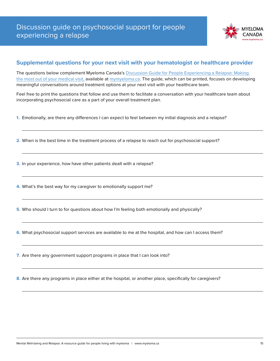

# **Supplemental questions for your next visit with your hematologist or healthcare provider**

The questions below complement Myeloma Canada's Discussion Guide for People Experiencing a Relapse: Making [the most out of your medical visit](https://mymyeloma.ca/pdf/discussion-guide-relapse-en.pdf), available at [mymyeloma.ca](https://mymyeloma.ca/). The guide, which can be printed, focuses on developing meaningful conversations around treatment options at your next visit with your healthcare team.

Feel free to print the questions that follow and use them to facilitate a conversation with your healthcare team about incorporating psychosocial care as a part of your overall treatment plan.

- **1.** Emotionally, are there any differences I can expect to feel between my initial diagnosis and a relapse?
- **2.** When is the best time in the treatment process of a relapse to reach out for psychosocial support?
- **3.** In your experience, how have other patients dealt with a relapse?
- **4.** What's the best way for my caregiver to emotionally support me?
- **5.** Who should I turn to for questions about how I'm feeling both emotionally and physically?
- **6.** What psychosocial support services are available to me at the hospital, and how can I access them?
- **7.** Are there any government support programs in place that I can look into?

**8.** Are there any programs in place either at the hospital, or another place, specifically for caregivers?